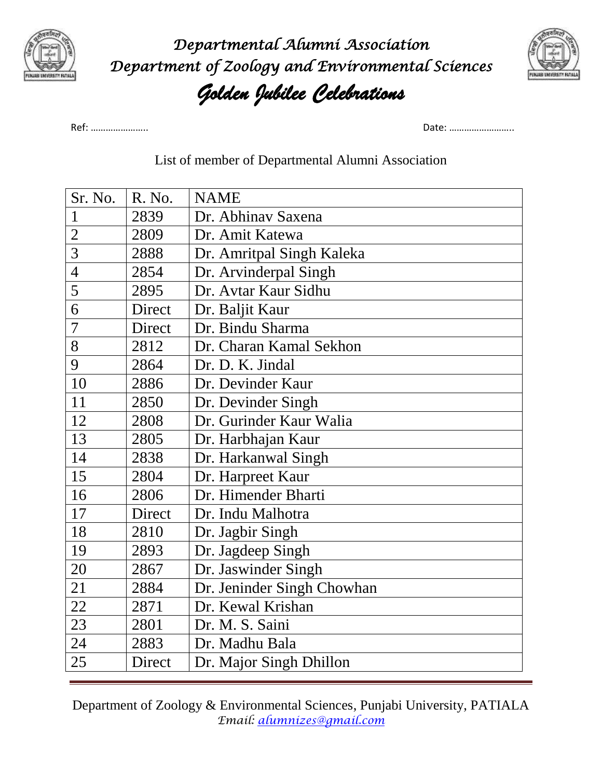

*Departmental Alumni Association Department of Zoology and Environmental Sciences Golden Jubilee Celebrations* 



Ref: ………………….. Date: ……………………..

## List of member of Departmental Alumni Association

| Sr. No.        | R. No. | <b>NAME</b>                |
|----------------|--------|----------------------------|
| $\mathbf{1}$   | 2839   | Dr. Abhinav Saxena         |
| $\overline{2}$ | 2809   | Dr. Amit Katewa            |
| 3              | 2888   | Dr. Amritpal Singh Kaleka  |
| $\overline{4}$ | 2854   | Dr. Arvinderpal Singh      |
| 5              | 2895   | Dr. Avtar Kaur Sidhu       |
| 6              | Direct | Dr. Baljit Kaur            |
| 7              | Direct | Dr. Bindu Sharma           |
| 8              | 2812   | Dr. Charan Kamal Sekhon    |
| 9              | 2864   | Dr. D. K. Jindal           |
| 10             | 2886   | Dr. Devinder Kaur          |
| 11             | 2850   | Dr. Devinder Singh         |
| 12             | 2808   | Dr. Gurinder Kaur Walia    |
| 13             | 2805   | Dr. Harbhajan Kaur         |
| 14             | 2838   | Dr. Harkanwal Singh        |
| 15             | 2804   | Dr. Harpreet Kaur          |
| 16             | 2806   | Dr. Himender Bharti        |
| 17             | Direct | Dr. Indu Malhotra          |
| 18             | 2810   | Dr. Jagbir Singh           |
| 19             | 2893   | Dr. Jagdeep Singh          |
| 20             | 2867   | Dr. Jaswinder Singh        |
| 21             | 2884   | Dr. Jeninder Singh Chowhan |
| 22             | 2871   | Dr. Kewal Krishan          |
| 23             | 2801   | Dr. M. S. Saini            |
| 24             | 2883   | Dr. Madhu Bala             |
| 25             | Direct | Dr. Major Singh Dhillon    |

Department of Zoology & Environmental Sciences, Punjabi University, PATIALA *Email: [alumnizes@gmail.com](mailto:alumnizes@gmail.com)*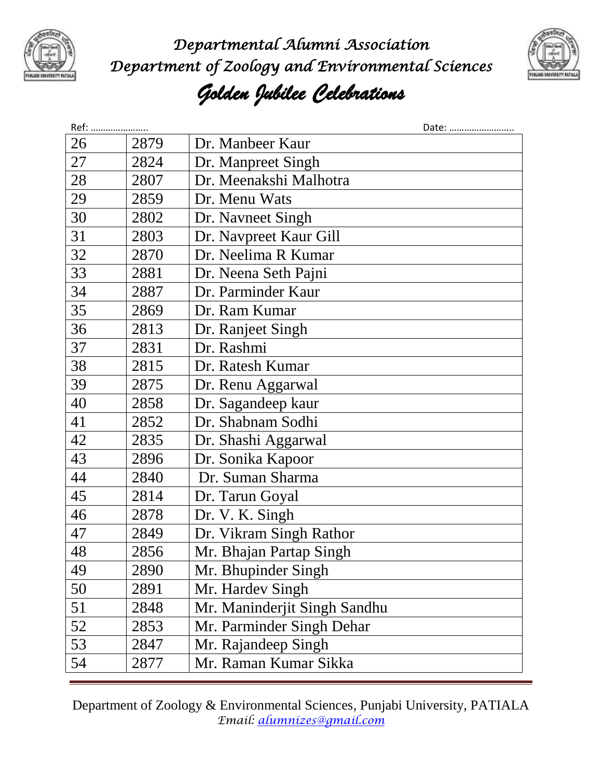

*Departmental Alumni Association Department of Zoology and Environmental Sciences* 



## *Golden Jubilee Celebrations*

| Ref: |      | Date:                        |
|------|------|------------------------------|
| 26   | 2879 | Dr. Manbeer Kaur             |
| 27   | 2824 | Dr. Manpreet Singh           |
| 28   | 2807 | Dr. Meenakshi Malhotra       |
| 29   | 2859 | Dr. Menu Wats                |
| 30   | 2802 | Dr. Navneet Singh            |
| 31   | 2803 | Dr. Navpreet Kaur Gill       |
| 32   | 2870 | Dr. Neelima R Kumar          |
| 33   | 2881 | Dr. Neena Seth Pajni         |
| 34   | 2887 | Dr. Parminder Kaur           |
| 35   | 2869 | Dr. Ram Kumar                |
| 36   | 2813 | Dr. Ranjeet Singh            |
| 37   | 2831 | Dr. Rashmi                   |
| 38   | 2815 | Dr. Ratesh Kumar             |
| 39   | 2875 | Dr. Renu Aggarwal            |
| 40   | 2858 | Dr. Sagandeep kaur           |
| 41   | 2852 | Dr. Shabnam Sodhi            |
| 42   | 2835 | Dr. Shashi Aggarwal          |
| 43   | 2896 | Dr. Sonika Kapoor            |
| 44   | 2840 | Dr. Suman Sharma             |
| 45   | 2814 | Dr. Tarun Goyal              |
| 46   | 2878 | Dr. V. K. Singh              |
| 47   | 2849 | Dr. Vikram Singh Rathor      |
| 48   | 2856 | Mr. Bhajan Partap Singh      |
| 49   | 2890 | Mr. Bhupinder Singh          |
| 50   | 2891 | Mr. Hardev Singh             |
| 51   | 2848 | Mr. Maninderjit Singh Sandhu |
| 52   | 2853 | Mr. Parminder Singh Dehar    |
| 53   | 2847 | Mr. Rajandeep Singh          |
| 54   | 2877 | Mr. Raman Kumar Sikka        |

Department of Zoology & Environmental Sciences, Punjabi University, PATIALA *Email: [alumnizes@gmail.com](mailto:alumnizes@gmail.com)*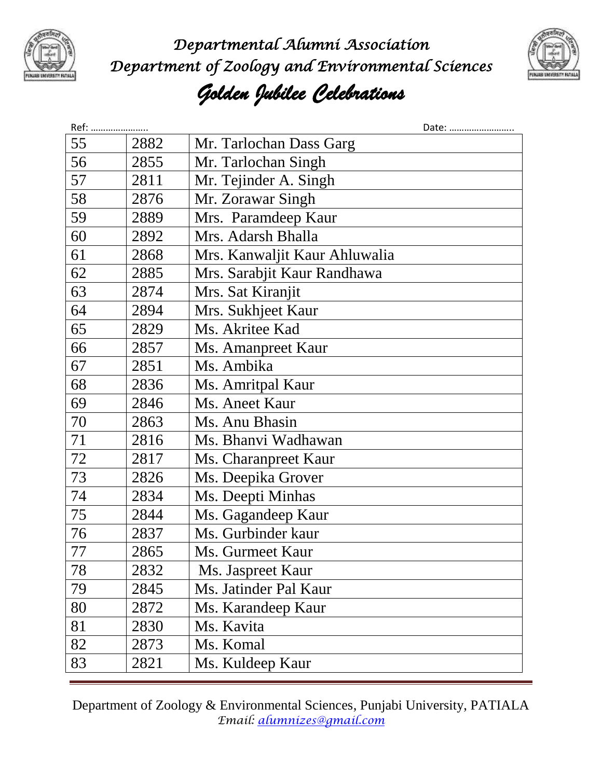

*Departmental Alumni Association Department of Zoology and Environmental Sciences* 



## *Golden Jubilee Celebrations*

| Ref: |      | Date:                         |
|------|------|-------------------------------|
| 55   | 2882 | Mr. Tarlochan Dass Garg       |
| 56   | 2855 | Mr. Tarlochan Singh           |
| 57   | 2811 | Mr. Tejinder A. Singh         |
| 58   | 2876 | Mr. Zorawar Singh             |
| 59   | 2889 | Mrs. Paramdeep Kaur           |
| 60   | 2892 | Mrs. Adarsh Bhalla            |
| 61   | 2868 | Mrs. Kanwaljit Kaur Ahluwalia |
| 62   | 2885 | Mrs. Sarabjit Kaur Randhawa   |
| 63   | 2874 | Mrs. Sat Kiranjit             |
| 64   | 2894 | Mrs. Sukhjeet Kaur            |
| 65   | 2829 | Ms. Akritee Kad               |
| 66   | 2857 | Ms. Amanpreet Kaur            |
| 67   | 2851 | Ms. Ambika                    |
| 68   | 2836 | Ms. Amritpal Kaur             |
| 69   | 2846 | Ms. Aneet Kaur                |
| 70   | 2863 | Ms. Anu Bhasin                |
| 71   | 2816 | Ms. Bhanvi Wadhawan           |
| 72   | 2817 | Ms. Charanpreet Kaur          |
| 73   | 2826 | Ms. Deepika Grover            |
| 74   | 2834 | Ms. Deepti Minhas             |
| 75   | 2844 | Ms. Gagandeep Kaur            |
| 76   | 2837 | Ms. Gurbinder kaur            |
| 77   | 2865 | Ms. Gurmeet Kaur              |
| 78   | 2832 | Ms. Jaspreet Kaur             |
| 79   | 2845 | Ms. Jatinder Pal Kaur         |
| 80   | 2872 | Ms. Karandeep Kaur            |
| 81   | 2830 | Ms. Kavita                    |
| 82   | 2873 | Ms. Komal                     |
| 83   | 2821 | Ms. Kuldeep Kaur              |

Department of Zoology & Environmental Sciences, Punjabi University, PATIALA *Email: [alumnizes@gmail.com](mailto:alumnizes@gmail.com)*